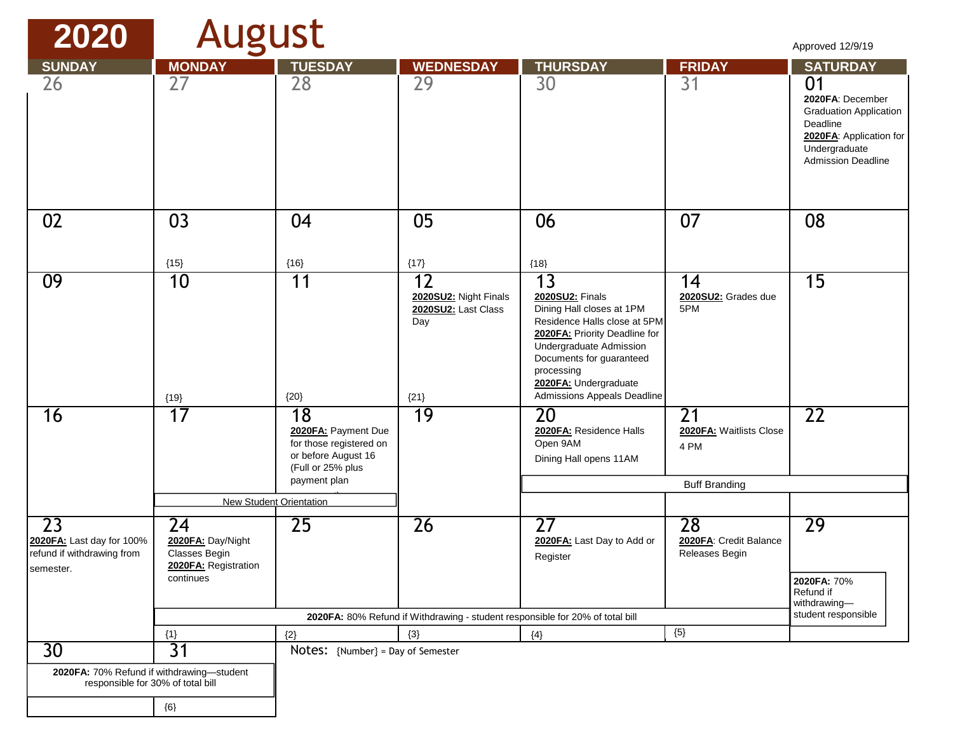| 2020                                                                           | <b>August</b>                                                    |                                                                                                                        |                                                                               |                                                                                                                                                                                                                                                  |                                                               | Approved 12/9/19                                                                                                                                                |
|--------------------------------------------------------------------------------|------------------------------------------------------------------|------------------------------------------------------------------------------------------------------------------------|-------------------------------------------------------------------------------|--------------------------------------------------------------------------------------------------------------------------------------------------------------------------------------------------------------------------------------------------|---------------------------------------------------------------|-----------------------------------------------------------------------------------------------------------------------------------------------------------------|
| <b>SUNDAY</b><br>26                                                            | <b>MONDAY</b><br>27                                              | <b>TUESDAY</b><br>28                                                                                                   | <b>WEDNESDAY</b><br>29                                                        | <b>THURSDAY</b><br>30                                                                                                                                                                                                                            | <b>FRIDAY</b><br>31                                           | <b>SATURDAY</b><br>01<br>2020FA: December<br><b>Graduation Application</b><br>Deadline<br>2020FA: Application for<br>Undergraduate<br><b>Admission Deadline</b> |
| 02                                                                             | 03<br>${15}$                                                     | 04<br>${16}$                                                                                                           | 05<br>${17}$                                                                  | 06<br>${18}$                                                                                                                                                                                                                                     | 07                                                            | 08                                                                                                                                                              |
| 09                                                                             | 10<br>${19}$                                                     | 11<br>${20}$                                                                                                           | 12<br>2020SU2: Night Finals<br>2020SU2: Last Class<br>Day<br>${21}$           | 13<br>2020SU2: Finals<br>Dining Hall closes at 1PM<br>Residence Halls close at 5PM<br>2020FA: Priority Deadline for<br>Undergraduate Admission<br>Documents for guaranteed<br>processing<br>2020FA: Undergraduate<br>Admissions Appeals Deadline | 14<br>2020SU2: Grades due<br>5PM                              | $\overline{15}$                                                                                                                                                 |
| 16                                                                             | 17                                                               | 19<br>18<br>2020FA: Payment Due<br>for those registered on<br>or before August 16<br>(Full or 25% plus<br>payment plan |                                                                               | 20<br>2020FA: Residence Halls<br>Open 9AM<br>Dining Hall opens 11AM                                                                                                                                                                              | 21<br>2020FA: Waitlists Close<br>4 PM<br><b>Buff Branding</b> | $\overline{22}$                                                                                                                                                 |
|                                                                                | <b>New Student Orientation</b>                                   |                                                                                                                        |                                                                               |                                                                                                                                                                                                                                                  |                                                               |                                                                                                                                                                 |
| 23<br>2020FA: Last day for 100%<br>refund if withdrawing from<br>semester.     | 24<br>2020FA: Day/Night<br>Classes Begin<br>2020FA: Registration | 25                                                                                                                     | 26                                                                            | $\overline{27}$<br>2020FA: Last Day to Add or<br>Register                                                                                                                                                                                        | 28<br>2020FA: Credit Balance<br>Releases Begin                | 29                                                                                                                                                              |
|                                                                                | continues                                                        |                                                                                                                        |                                                                               |                                                                                                                                                                                                                                                  |                                                               | 2020FA: 70%<br>Refund if<br>withdrawing-                                                                                                                        |
|                                                                                |                                                                  |                                                                                                                        | 2020FA: 80% Refund if Withdrawing - student responsible for 20% of total bill |                                                                                                                                                                                                                                                  |                                                               | student responsible                                                                                                                                             |
|                                                                                | ${1}$                                                            | ${2}$                                                                                                                  | ${3}$                                                                         | ${4}$                                                                                                                                                                                                                                            | ${5}$                                                         |                                                                                                                                                                 |
| 30 <sup>°</sup>                                                                | 31                                                               | Notes: {Number} = Day of Semester                                                                                      |                                                                               |                                                                                                                                                                                                                                                  |                                                               |                                                                                                                                                                 |
| 2020FA: 70% Refund if withdrawing-student<br>responsible for 30% of total bill |                                                                  |                                                                                                                        |                                                                               |                                                                                                                                                                                                                                                  |                                                               |                                                                                                                                                                 |
|                                                                                | $\{6\}$                                                          |                                                                                                                        |                                                                               |                                                                                                                                                                                                                                                  |                                                               |                                                                                                                                                                 |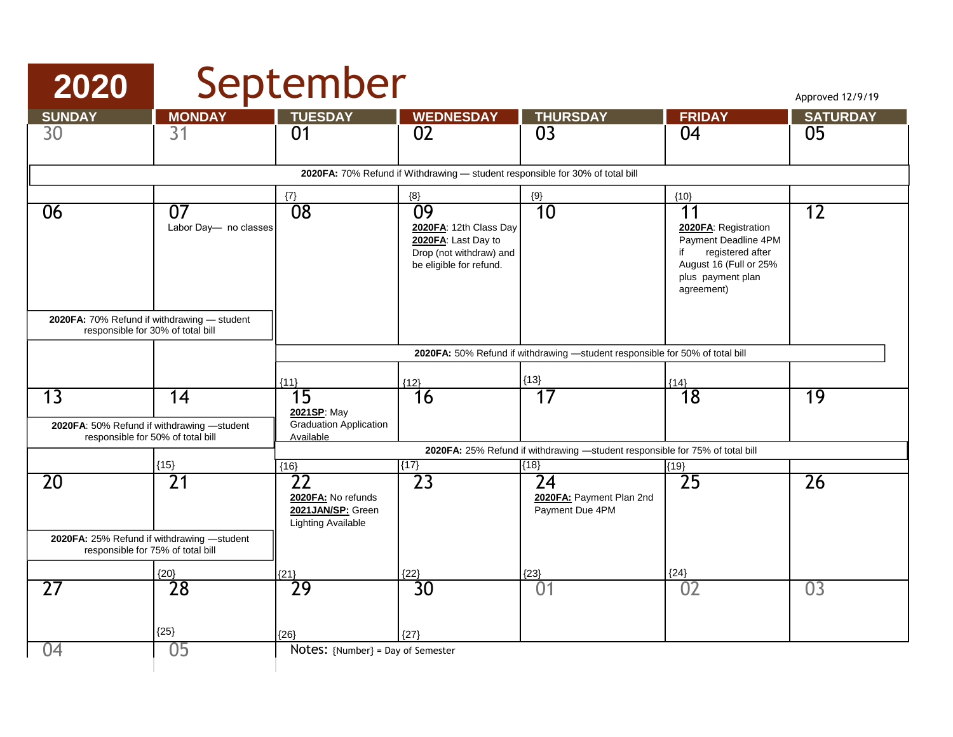# **2020** September

Approved 12/9/19

| <b>SUNDAY</b>                                                                 | <b>MONDAY</b>                                                                   | <b>TUESDAY</b>                                                                            | <b>WEDNESDAY</b>                                                                                          | <b>THURSDAY</b>                                                              | <b>FRIDAY</b>                                                                                                                                    | <b>SATURDAY</b> |  |  |
|-------------------------------------------------------------------------------|---------------------------------------------------------------------------------|-------------------------------------------------------------------------------------------|-----------------------------------------------------------------------------------------------------------|------------------------------------------------------------------------------|--------------------------------------------------------------------------------------------------------------------------------------------------|-----------------|--|--|
| 30                                                                            | 31                                                                              | 01                                                                                        | 02                                                                                                        | 03                                                                           | 04                                                                                                                                               | 05              |  |  |
|                                                                               |                                                                                 |                                                                                           |                                                                                                           |                                                                              |                                                                                                                                                  |                 |  |  |
| 2020FA: 70% Refund if Withdrawing - student responsible for 30% of total bill |                                                                                 |                                                                                           |                                                                                                           |                                                                              |                                                                                                                                                  |                 |  |  |
|                                                                               |                                                                                 | $\{7\}$                                                                                   | ${8}$                                                                                                     | $\{9\}$                                                                      | ${10}$                                                                                                                                           |                 |  |  |
| 06                                                                            | $\overline{07}$<br>Labor Day- no classes                                        | $\overline{08}$                                                                           | 09<br>2020FA: 12th Class Day<br>2020FA: Last Day to<br>Drop (not withdraw) and<br>be eligible for refund. | 10                                                                           | $\overline{11}$<br>2020FA: Registration<br>Payment Deadline 4PM<br>registered after<br>August 16 (Full or 25%<br>plus payment plan<br>agreement) | $\overline{12}$ |  |  |
| responsible for 30% of total bill                                             | 2020FA: 70% Refund if withdrawing - student                                     |                                                                                           |                                                                                                           |                                                                              |                                                                                                                                                  |                 |  |  |
|                                                                               |                                                                                 |                                                                                           |                                                                                                           | 2020FA: 50% Refund if withdrawing -student responsible for 50% of total bill |                                                                                                                                                  |                 |  |  |
|                                                                               |                                                                                 | ${11}$                                                                                    | ${12}$                                                                                                    | ${13}$                                                                       | ${14}$                                                                                                                                           |                 |  |  |
| 13                                                                            | 14<br>2020FA: 50% Refund if withdrawing -student                                | $\overline{15}$<br>2021SP: May<br>Graduation Application                                  | 16                                                                                                        | $\overline{17}$                                                              | $\overline{18}$                                                                                                                                  | 19              |  |  |
|                                                                               | responsible for 50% of total bill                                               | Available<br>2020FA: 25% Refund if withdrawing -student responsible for 75% of total bill |                                                                                                           |                                                                              |                                                                                                                                                  |                 |  |  |
|                                                                               | ${15}$                                                                          | ${16}$                                                                                    | ${17}$                                                                                                    | (18)                                                                         | ${19}$                                                                                                                                           |                 |  |  |
| 20                                                                            | $\overline{21}$                                                                 | 22<br>2020FA: No refunds<br>2021JAN/SP: Green<br><b>Lighting Available</b>                | $\overline{23}$                                                                                           | 24<br>2020FA: Payment Plan 2nd<br>Payment Due 4PM                            | 25                                                                                                                                               | $\overline{26}$ |  |  |
|                                                                               | 2020FA: 25% Refund if withdrawing -student<br>responsible for 75% of total bill |                                                                                           |                                                                                                           |                                                                              |                                                                                                                                                  |                 |  |  |
|                                                                               | ${20}$                                                                          | ${21}$                                                                                    | ${22}$                                                                                                    | ${23}$                                                                       | ${24}$                                                                                                                                           |                 |  |  |
| 27                                                                            | 28                                                                              | 29                                                                                        | 30                                                                                                        | 01                                                                           | 02                                                                                                                                               | 03              |  |  |
|                                                                               | ${25}$                                                                          | ${26}$                                                                                    | ${27}$                                                                                                    |                                                                              |                                                                                                                                                  |                 |  |  |
| 04                                                                            | 05                                                                              | Notes: {Number} = Day of Semester                                                         |                                                                                                           |                                                                              |                                                                                                                                                  |                 |  |  |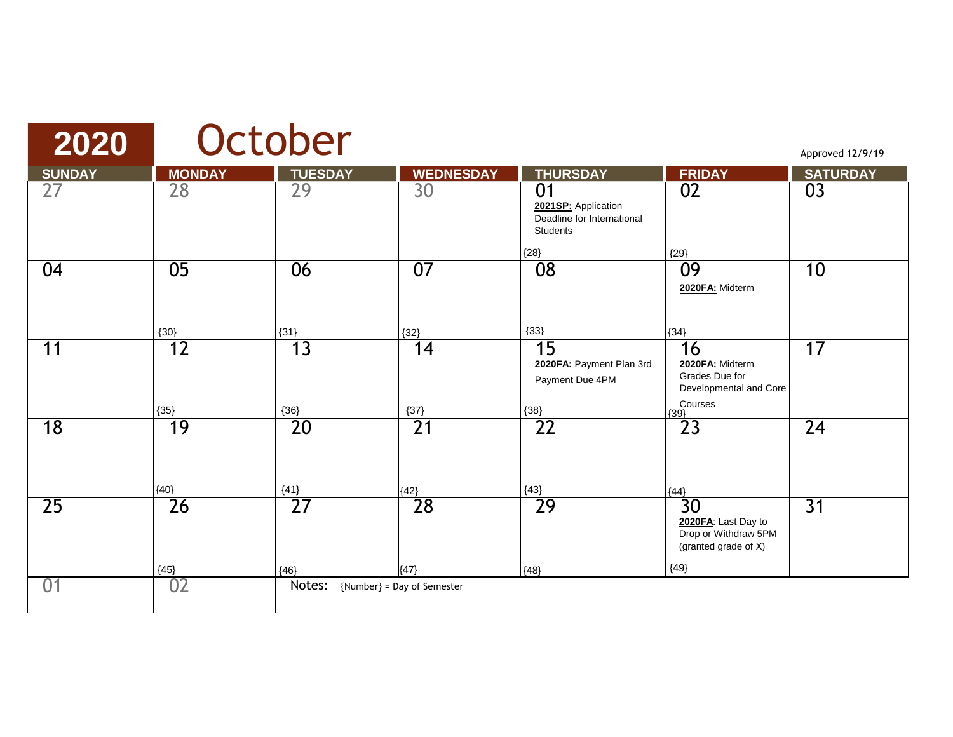| 2020            |                 | October         |                            |                                                                            |                                                                              | Approved 12/9/19 |
|-----------------|-----------------|-----------------|----------------------------|----------------------------------------------------------------------------|------------------------------------------------------------------------------|------------------|
| <b>SUNDAY</b>   | <b>MONDAY</b>   | <b>TUESDAY</b>  | <b>WEDNESDAY</b>           | <b>THURSDAY</b>                                                            | <b>FRIDAY</b>                                                                | <b>SATURDAY</b>  |
| 27              | 28              | 29              | 30                         | 01<br>2021SP: Application<br>Deadline for International<br><b>Students</b> | 02                                                                           | 03               |
| 04              | $\overline{05}$ | 06              | 07                         | ${28}$<br>08                                                               | ${29}$<br>09<br>2020FA: Midterm                                              | 10               |
|                 | ${30}$          | ${31}$          | ${32}$                     | ${33}$                                                                     | ${34}$                                                                       |                  |
| 11              | 12              | 13              | 14                         | 15<br>2020FA: Payment Plan 3rd<br>Payment Due 4PM                          | 16<br>2020FA: Midterm<br>Grades Due for<br>Developmental and Core<br>Courses | 17               |
| $\overline{18}$ | ${35}$<br>19    | ${36}$<br>20    | ${37}$<br>$\overline{21}$  | ${38}$<br>$\overline{22}$                                                  | ${39}$<br>23                                                                 | $\overline{24}$  |
|                 | ${40}$          | ${41}$          | ${42}$                     | ${43}$                                                                     | ${44}$                                                                       |                  |
| $\overline{25}$ | $\overline{26}$ | $\overline{27}$ | 28                         | 29                                                                         | 30<br>2020FA: Last Day to<br>Drop or Withdraw 5PM<br>(granted grade of X)    | $\overline{31}$  |
|                 | ${45}$          | ${46}$          | ${47}$                     | ${48}$                                                                     | ${49}$                                                                       |                  |
| 01              | 02              | Notes:          | {Number} = Day of Semester |                                                                            |                                                                              |                  |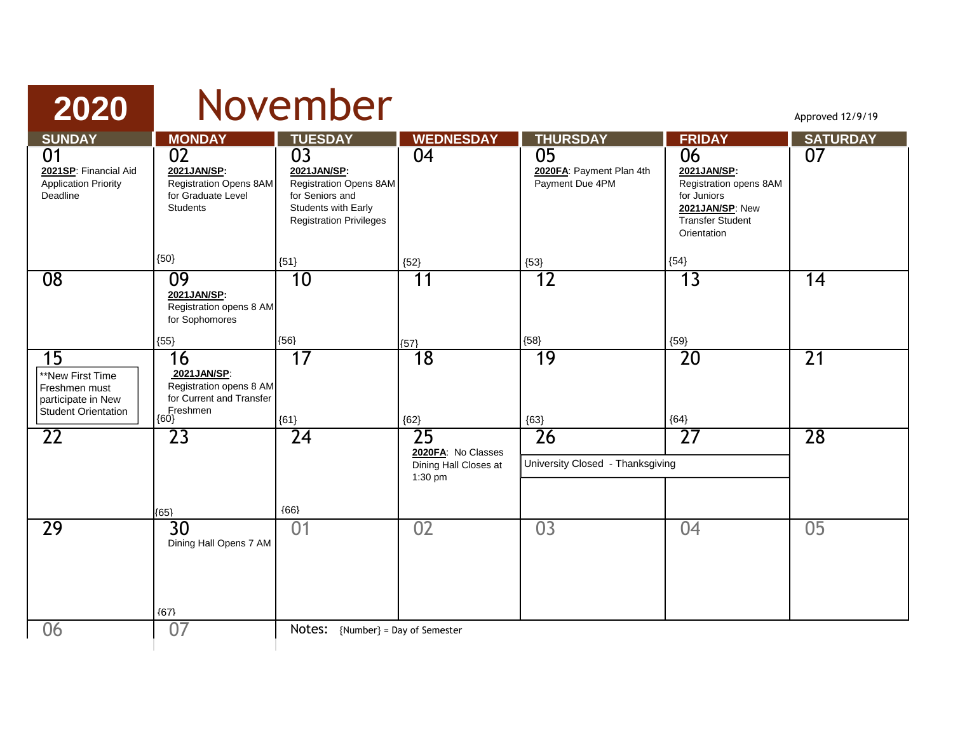| 2020                                                                                        |                                                                                              | November                                                                                                                             |                                                        |                                                   |                                                                                                                          | Approved 12/9/19 |
|---------------------------------------------------------------------------------------------|----------------------------------------------------------------------------------------------|--------------------------------------------------------------------------------------------------------------------------------------|--------------------------------------------------------|---------------------------------------------------|--------------------------------------------------------------------------------------------------------------------------|------------------|
| <b>SUNDAY</b>                                                                               | <b>MONDAY</b>                                                                                | <b>TUESDAY</b>                                                                                                                       | <b>WEDNESDAY</b>                                       | <b>THURSDAY</b>                                   | <b>FRIDAY</b>                                                                                                            | <b>SATURDAY</b>  |
| 01<br>2021SP: Financial Aid<br><b>Application Priority</b><br>Deadline                      | 02<br>2021JAN/SP:<br><b>Registration Opens 8AM</b><br>for Graduate Level<br>Students         | $\overline{03}$<br>2021JAN/SP:<br>Registration Opens 8AM<br>for Seniors and<br>Students with Early<br><b>Registration Privileges</b> | 04                                                     | 05<br>2020FA: Payment Plan 4th<br>Payment Due 4PM | 06<br>2021JAN/SP:<br>Registration opens 8AM<br>for Juniors<br>2021 JAN/SP: New<br><b>Transfer Student</b><br>Orientation | 07               |
|                                                                                             | ${50}$                                                                                       | ${51}$                                                                                                                               | ${52}$                                                 | ${53}$                                            | ${54}$                                                                                                                   |                  |
| 08                                                                                          | 09<br>2021JAN/SP:<br>Registration opens 8 AM<br>for Sophomores                               | 10                                                                                                                                   | 11                                                     | 12                                                | 13                                                                                                                       | 14               |
|                                                                                             | ${55}$                                                                                       | ${56}$                                                                                                                               | ${57}$                                                 | ${58}$                                            | ${59}$                                                                                                                   |                  |
| 15<br>**New First Time<br>Freshmen must<br>participate in New<br><b>Student Orientation</b> | 16<br>2021JAN/SP:<br>Registration opens 8 AM<br>for Current and Transfer<br>Freshmen<br>{60} | 17<br>${61}$                                                                                                                         | $\overline{18}$<br>${62}$                              | 19<br>${63}$                                      | 20<br>${64}$                                                                                                             | 21               |
| 22                                                                                          | 23                                                                                           | $\overline{24}$                                                                                                                      | $\overline{25}$                                        | 26                                                | $\overline{27}$                                                                                                          | 28               |
|                                                                                             |                                                                                              |                                                                                                                                      | 2020FA: No Classes<br>Dining Hall Closes at<br>1:30 pm | University Closed - Thanksgiving                  |                                                                                                                          |                  |
|                                                                                             | (65)                                                                                         | ${66}$                                                                                                                               |                                                        |                                                   |                                                                                                                          |                  |
| 29                                                                                          | 30<br>Dining Hall Opens 7 AM<br>${67}$                                                       | 01                                                                                                                                   | 02                                                     | 03                                                | 04                                                                                                                       | $\overline{05}$  |
| 06                                                                                          | 07                                                                                           | <b>Notes:</b> {Number} = Day of Semester                                                                                             |                                                        |                                                   |                                                                                                                          |                  |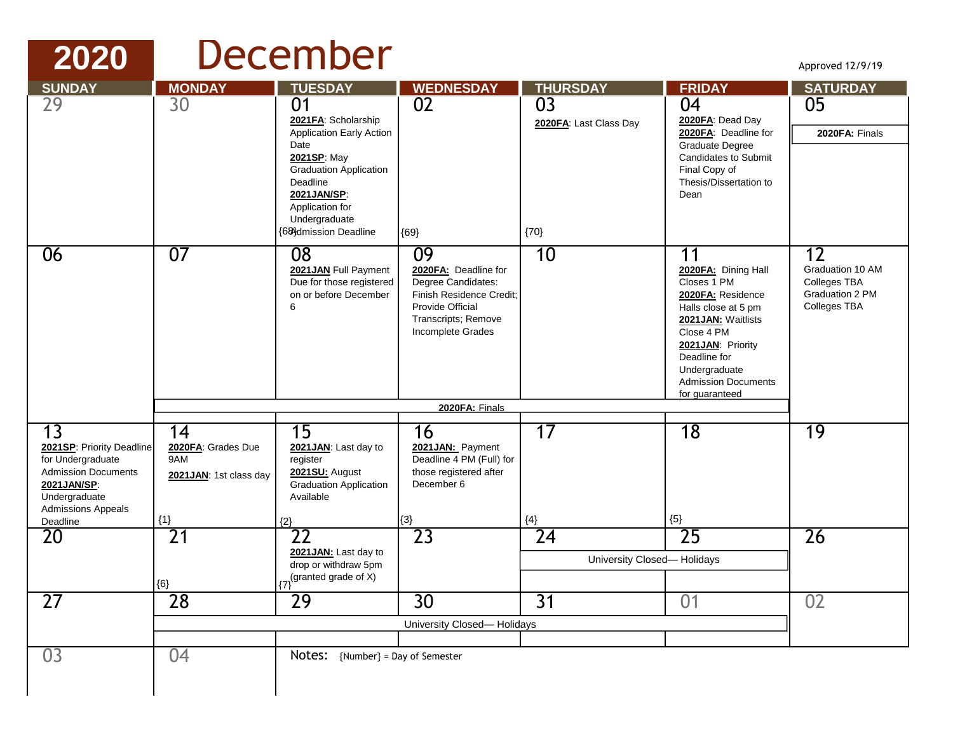## **2020** December

Approved 12/9/19

| <b>SUNDAY</b>                                                                                                                                                | <b>MONDAY</b>                                             | <b>TUESDAY</b>                                                                                                                                                                                                           | <b>WEDNESDAY</b>                                                                                                                             | <b>THURSDAY</b>                                | <b>FRIDAY</b>                                                                                                                                                                                                                    | <b>SATURDAY</b>                                                                  |
|--------------------------------------------------------------------------------------------------------------------------------------------------------------|-----------------------------------------------------------|--------------------------------------------------------------------------------------------------------------------------------------------------------------------------------------------------------------------------|----------------------------------------------------------------------------------------------------------------------------------------------|------------------------------------------------|----------------------------------------------------------------------------------------------------------------------------------------------------------------------------------------------------------------------------------|----------------------------------------------------------------------------------|
| 29                                                                                                                                                           | 30                                                        | 0 <sub>1</sub><br>2021FA: Scholarship<br><b>Application Early Action</b><br>Date<br>2021SP: May<br><b>Graduation Application</b><br>Deadline<br>2021JAN/SP:<br>Application for<br>Undergraduate<br>{68}dmission Deadline | 02<br>${69}$                                                                                                                                 | 03<br>2020FA: Last Class Day<br>${70}$         | 04<br>2020FA: Dead Day<br>2020FA: Deadline for<br>Graduate Degree<br><b>Candidates to Submit</b><br>Final Copy of<br>Thesis/Dissertation to<br>Dean                                                                              | 05<br>2020FA: Finals                                                             |
| 06                                                                                                                                                           | 07                                                        | $\overline{08}$<br>2021JAN Full Payment<br>Due for those registered<br>on or before December<br>6                                                                                                                        | 09<br>2020FA: Deadline for<br>Degree Candidates:<br>Finish Residence Credit:<br>Provide Official<br>Transcripts; Remove<br>Incomplete Grades | 10                                             | 11<br>2020FA: Dining Hall<br>Closes 1 PM<br>2020FA: Residence<br>Halls close at 5 pm<br>2021 JAN: Waitlists<br>Close 4 PM<br>2021 JAN: Priority<br>Deadline for<br>Undergraduate<br><b>Admission Documents</b><br>for guaranteed | 12<br>Graduation 10 AM<br><b>Colleges TBA</b><br>Graduation 2 PM<br>Colleges TBA |
|                                                                                                                                                              |                                                           |                                                                                                                                                                                                                          | 2020FA: Finals                                                                                                                               |                                                |                                                                                                                                                                                                                                  |                                                                                  |
| $\overline{13}$<br>2021SP: Priority Deadline<br>for Undergraduate<br><b>Admission Documents</b><br>2021JAN/SP:<br>Undergraduate<br><b>Admissions Appeals</b> | 14<br>2020FA: Grades Due<br>9AM<br>2021JAN: 1st class day | 15<br>2021JAN: Last day to<br>register<br>2021SU: August<br><b>Graduation Application</b><br>Available                                                                                                                   | 16<br>2021JAN: Payment<br>Deadline 4 PM (Full) for<br>those registered after<br>December 6                                                   | 17                                             | 18                                                                                                                                                                                                                               | 19                                                                               |
| Deadline                                                                                                                                                     | ${1}$                                                     | ${2}$                                                                                                                                                                                                                    | ${3}$                                                                                                                                        | ${4}$                                          | ${5}$                                                                                                                                                                                                                            |                                                                                  |
| 20                                                                                                                                                           | $\overline{21}$<br>${6}$                                  | 22<br>2021JAN: Last day to<br>drop or withdraw 5pm<br>(granted grade of $\hat{X}$ )<br>{7}                                                                                                                               | 23                                                                                                                                           | $\overline{24}$<br>University Closed- Holidays | $\overline{25}$                                                                                                                                                                                                                  | 26                                                                               |
| 27                                                                                                                                                           | 28                                                        | 29                                                                                                                                                                                                                       | 30                                                                                                                                           | $\overline{31}$                                | 01                                                                                                                                                                                                                               | 02                                                                               |
|                                                                                                                                                              |                                                           |                                                                                                                                                                                                                          | University Closed-Holidays                                                                                                                   |                                                |                                                                                                                                                                                                                                  |                                                                                  |
| 03                                                                                                                                                           | 04                                                        | Notes: {Number} = Day of Semester                                                                                                                                                                                        |                                                                                                                                              |                                                |                                                                                                                                                                                                                                  |                                                                                  |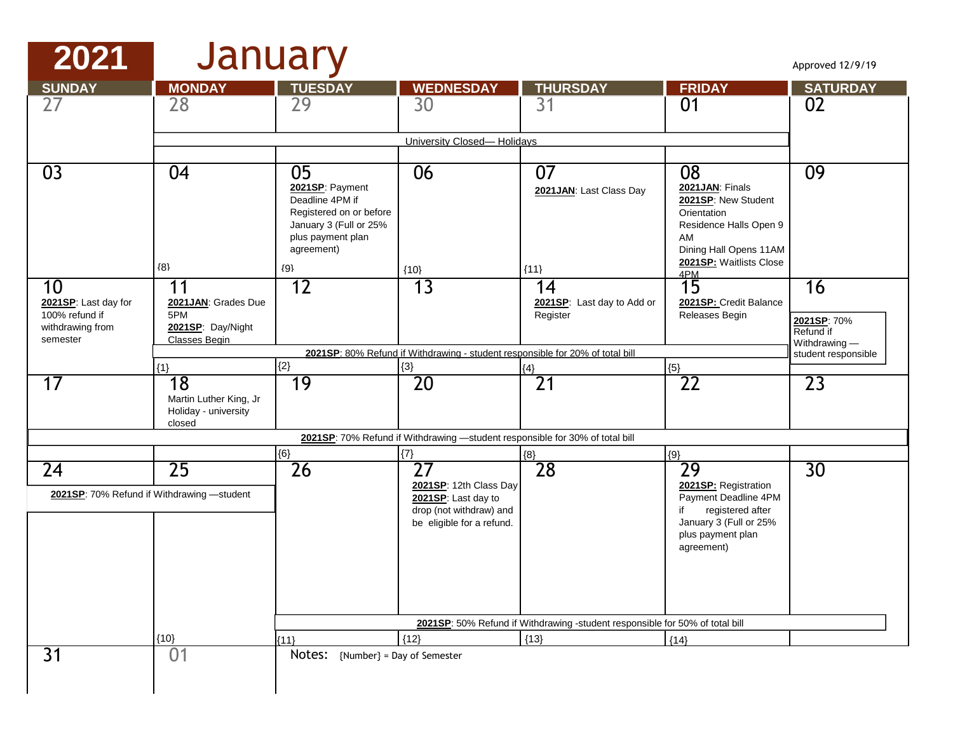### **2021** January

| <b>SUNDAY</b>                          | <b>MONDAY</b>                                  | <b>TUESDAY</b>                             | <b>WEDNESDAY</b>                                                              | <b>THURSDAY</b>                                                              | <b>FRIDAY</b>                            | <b>SATURDAY</b>                      |
|----------------------------------------|------------------------------------------------|--------------------------------------------|-------------------------------------------------------------------------------|------------------------------------------------------------------------------|------------------------------------------|--------------------------------------|
| 27                                     | 28                                             | 29                                         | 30                                                                            | 31                                                                           | 01                                       | 02                                   |
|                                        |                                                |                                            |                                                                               |                                                                              |                                          |                                      |
|                                        |                                                |                                            | University Closed-Holidays                                                    |                                                                              |                                          |                                      |
| $\overline{03}$                        | $\overline{04}$                                | $\overline{05}$                            | 06                                                                            | 07                                                                           | 08                                       | 09                                   |
|                                        |                                                | 2021SP: Payment                            |                                                                               | 2021 JAN: Last Class Day                                                     | 2021JAN: Finals                          |                                      |
|                                        |                                                | Deadline 4PM if<br>Registered on or before |                                                                               |                                                                              | 2021SP: New Student<br>Orientation       |                                      |
|                                        |                                                | January 3 (Full or 25%                     |                                                                               |                                                                              | Residence Halls Open 9                   |                                      |
|                                        |                                                | plus payment plan<br>agreement)            |                                                                               |                                                                              | AM<br>Dining Hall Opens 11AM             |                                      |
|                                        | ${8}$                                          | ${9}$                                      | ${10}$                                                                        | ${11}$                                                                       | 2021SP: Waitlists Close<br>4PM           |                                      |
| 10                                     | 11                                             | 12                                         | 13                                                                            | 14                                                                           | 15                                       | 16                                   |
| 2021SP: Last day for<br>100% refund if | 2021JAN: Grades Due<br>5PM                     |                                            |                                                                               | 2021SP: Last day to Add or<br>Register                                       | 2021SP: Credit Balance<br>Releases Begin |                                      |
| withdrawing from                       | 2021SP: Day/Night                              |                                            |                                                                               |                                                                              |                                          | 2021SP: 70%<br>Refund if             |
| semester                               | Classes Begin                                  |                                            | 2021SP: 80% Refund if Withdrawing - student responsible for 20% of total bill |                                                                              |                                          | Withdrawing -<br>student responsible |
|                                        | ${1}$                                          | ${2}$                                      | ${3}$                                                                         | ${4}$                                                                        | ${5}$                                    |                                      |
| 17                                     | $\overline{18}$                                | $\overline{19}$                            | $\overline{20}$                                                               | $\overline{21}$                                                              | $\overline{22}$                          | $\overline{23}$                      |
|                                        | Martin Luther King, Jr<br>Holiday - university |                                            |                                                                               |                                                                              |                                          |                                      |
|                                        | closed                                         |                                            |                                                                               |                                                                              |                                          |                                      |
|                                        |                                                |                                            | 2021SP: 70% Refund if Withdrawing -student responsible for 30% of total bill  |                                                                              |                                          |                                      |
| 24                                     | $\overline{25}$                                | ${6}$<br>26                                | $\{7\}$<br>$\overline{27}$                                                    | ${8}$<br>28                                                                  | ${9}$<br>29                              | 30                                   |
|                                        |                                                |                                            | 2021SP: 12th Class Day                                                        |                                                                              | 2021SP: Registration                     |                                      |
|                                        | 2021SP: 70% Refund if Withdrawing -student     |                                            | 2021SP: Last day to<br>drop (not withdraw) and                                |                                                                              | Payment Deadline 4PM<br>registered after |                                      |
|                                        |                                                |                                            | be eligible for a refund.                                                     |                                                                              | January 3 (Full or 25%                   |                                      |
|                                        |                                                |                                            |                                                                               |                                                                              | plus payment plan<br>agreement)          |                                      |
|                                        |                                                |                                            |                                                                               |                                                                              |                                          |                                      |
|                                        |                                                |                                            |                                                                               |                                                                              |                                          |                                      |
|                                        |                                                |                                            |                                                                               |                                                                              |                                          |                                      |
|                                        |                                                |                                            |                                                                               | 2021SP: 50% Refund if Withdrawing -student responsible for 50% of total bill |                                          |                                      |
|                                        | ${10}$                                         | (11)                                       | ${12}$                                                                        | ${13}$                                                                       | ${14}$                                   |                                      |
| $\overline{31}$                        | 01                                             | Notes: {Number} = Day of Semester          |                                                                               |                                                                              |                                          |                                      |
|                                        |                                                |                                            |                                                                               |                                                                              |                                          |                                      |
|                                        |                                                |                                            |                                                                               |                                                                              |                                          |                                      |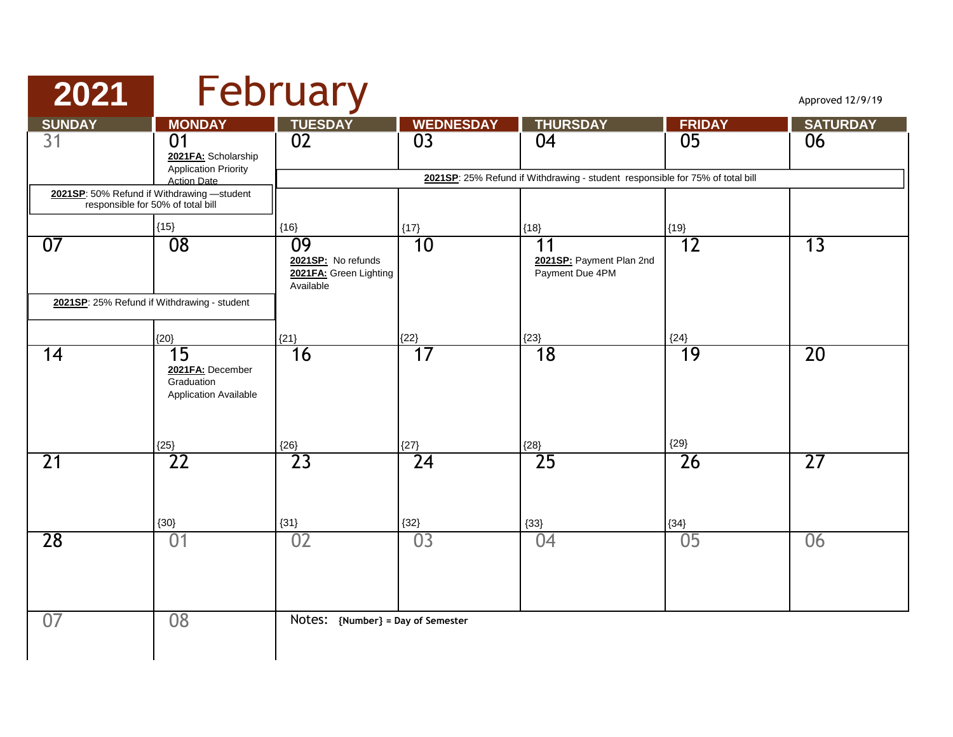| 2021                                                                            |                                                                                | February                                                        |                  |                                                                                     |               | Approved 12/9/19 |
|---------------------------------------------------------------------------------|--------------------------------------------------------------------------------|-----------------------------------------------------------------|------------------|-------------------------------------------------------------------------------------|---------------|------------------|
| <b>SUNDAY</b>                                                                   | <b>MONDAY</b>                                                                  | <b>TUESDAY</b>                                                  | <b>WEDNESDAY</b> | <b>THURSDAY</b>                                                                     | <b>FRIDAY</b> | <b>SATURDAY</b>  |
| 31                                                                              | 01<br>2021FA: Scholarship<br><b>Application Priority</b><br><b>Action Date</b> | 02                                                              | 0 <sub>3</sub>   | 04<br>2021SP: 25% Refund if Withdrawing - student responsible for 75% of total bill | 05            | 06               |
| 2021SP: 50% Refund if Withdrawing -student<br>responsible for 50% of total bill |                                                                                |                                                                 |                  |                                                                                     |               |                  |
|                                                                                 | ${15}$                                                                         | ${16}$                                                          | ${17}$           | ${18}$                                                                              | ${19}$        |                  |
| 07                                                                              | $\overline{08}$                                                                | 09<br>2021SP: No refunds<br>2021FA: Green Lighting<br>Available | 10               | 11<br>2021SP: Payment Plan 2nd<br>Payment Due 4PM                                   | 12            | $\overline{13}$  |
| 2021SP: 25% Refund if Withdrawing - student                                     |                                                                                |                                                                 |                  |                                                                                     |               |                  |
|                                                                                 | ${20}$                                                                         | ${21}$                                                          | ${22}$           | ${23}$                                                                              | ${24}$        |                  |
| 14                                                                              | 15<br>2021FA: December<br>Graduation<br>Application Available<br>${25}$        | 16<br>${26}$                                                    | 17<br>${27}$     | 18<br>${28}$                                                                        | 19<br>${29}$  | 20               |
| 21                                                                              | $\overline{22}$<br>${30}$                                                      | 23<br>${31}$                                                    | 24<br>${32}$     | 25<br>${33}$                                                                        | 26<br>${34}$  | $\overline{27}$  |
| 28                                                                              | 01                                                                             | 02                                                              | 03               | 04                                                                                  | 05            | 06               |
| 07                                                                              | 08                                                                             | Notes: {Number} = Day of Semester                               |                  |                                                                                     |               |                  |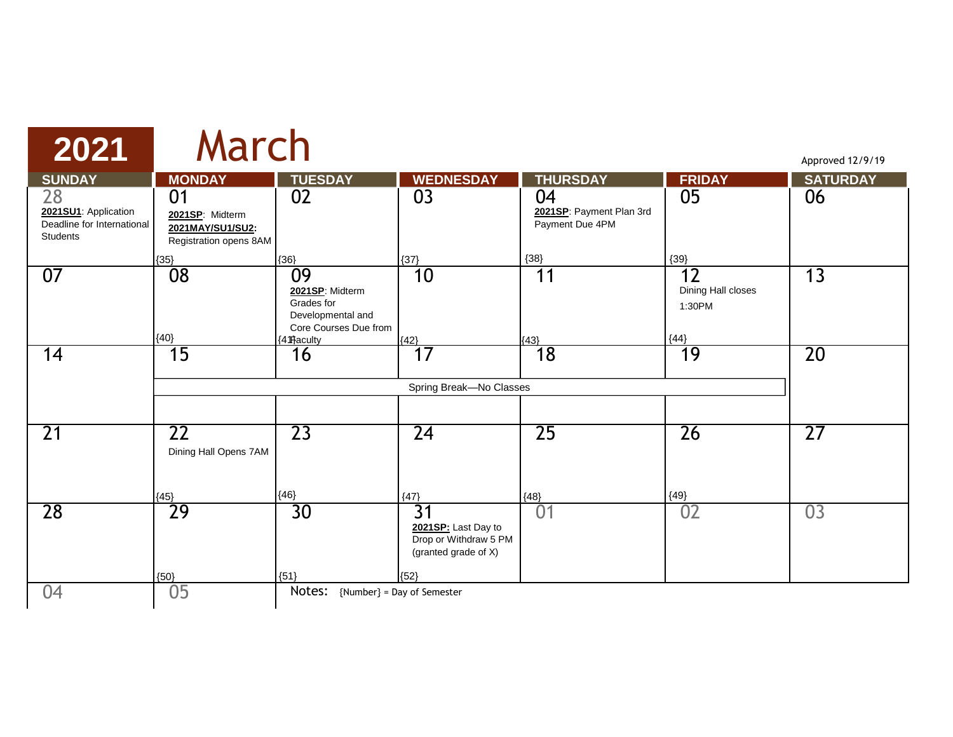| 2021                                                                        | March                                                               |                                                                                                            |                                                                                                   |                                                   |                                                        | Approved 12/9/19 |
|-----------------------------------------------------------------------------|---------------------------------------------------------------------|------------------------------------------------------------------------------------------------------------|---------------------------------------------------------------------------------------------------|---------------------------------------------------|--------------------------------------------------------|------------------|
| <b>SUNDAY</b>                                                               | <b>MONDAY</b>                                                       | <b>TUESDAY</b>                                                                                             | <b>WEDNESDAY</b>                                                                                  | <b>THURSDAY</b>                                   | <b>FRIDAY</b>                                          | <b>SATURDAY</b>  |
| 28<br>2021SU1: Application<br>Deadline for International<br><b>Students</b> | 01<br>2021SP: Midterm<br>2021MAY/SU1/SU2:<br>Registration opens 8AM | 02                                                                                                         | 03                                                                                                | 04<br>2021SP: Payment Plan 3rd<br>Payment Due 4PM | 05                                                     | 06               |
| 07                                                                          | ${35}$<br>08<br>${40}$                                              | ${36}$<br>09<br>2021SP: Midterm<br>Grades for<br>Developmental and<br>Core Courses Due from<br>{4 fraculty | ${37}$<br>10<br>${42}$                                                                            | ${38}$<br>11<br>${43}$                            | ${39}$<br>12<br>Dining Hall closes<br>1:30PM<br>${44}$ | 13               |
| 14                                                                          | $\overline{15}$                                                     | 16                                                                                                         | 17<br>Spring Break-No Classes                                                                     | 18                                                | 19                                                     | 20               |
| $\overline{21}$                                                             | 22<br>Dining Hall Opens 7AM<br>${45}$                               | 23<br>${46}$                                                                                               | $\overline{24}$<br>${47}$                                                                         | 25<br>${48}$                                      | 26<br>${49}$                                           | 27               |
| 28                                                                          | 29<br>${50}$                                                        | $\overline{30}$<br>${51}$                                                                                  | $\overline{31}$<br>2021SP: Last Day to<br>Drop or Withdraw 5 PM<br>(granted grade of X)<br>${52}$ | 01                                                | 02                                                     | 03               |
| 04                                                                          | 05                                                                  | Notes:                                                                                                     | {Number} = Day of Semester                                                                        |                                                   |                                                        |                  |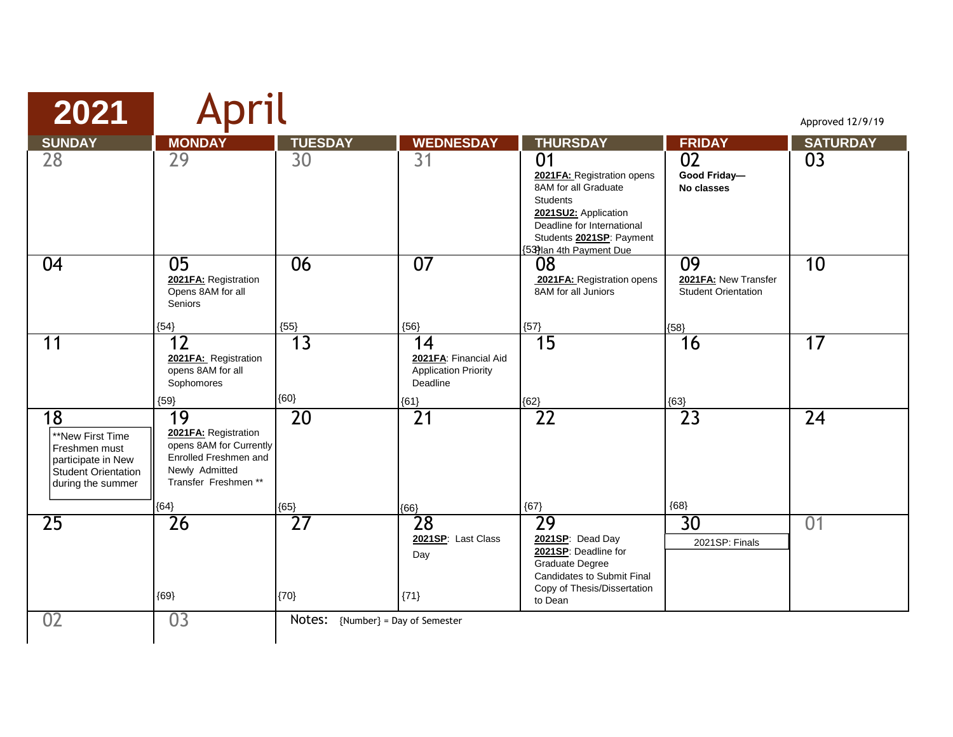| 2021                                                                                                      | April                                                                                                                   |                                     |                                                                                  |                                                                                                                                                                                         |                                                                     | Approved 12/9/19 |
|-----------------------------------------------------------------------------------------------------------|-------------------------------------------------------------------------------------------------------------------------|-------------------------------------|----------------------------------------------------------------------------------|-----------------------------------------------------------------------------------------------------------------------------------------------------------------------------------------|---------------------------------------------------------------------|------------------|
| <b>SUNDAY</b>                                                                                             | <b>MONDAY</b>                                                                                                           | <b>TUESDAY</b>                      | <b>WEDNESDAY</b>                                                                 | <b>THURSDAY</b>                                                                                                                                                                         | <b>FRIDAY</b>                                                       | <b>SATURDAY</b>  |
| 28                                                                                                        | $\overline{29}$                                                                                                         | $\overline{30}$                     | $\overline{31}$                                                                  | 01<br>2021FA: Registration opens<br>8AM for all Graduate<br><b>Students</b><br>2021SU2: Application<br>Deadline for International<br>Students 2021SP: Payment<br>53)lan 4th Payment Due | $\overline{02}$<br>Good Friday-<br>No classes                       | 03               |
| 04                                                                                                        | 05<br>2021FA: Registration<br>Opens 8AM for all<br><b>Seniors</b><br>${54}$                                             | 06<br>${55}$                        | 07<br>${56}$                                                                     | 08<br>2021FA: Registration opens<br>8AM for all Juniors<br>${57}$                                                                                                                       | 09<br>2021 FA: New Transfer<br><b>Student Orientation</b><br>${58}$ | 10               |
| 11                                                                                                        | $\overline{12}$<br>2021FA: Registration<br>opens 8AM for all<br>Sophomores<br>${59}$                                    | $\overline{13}$<br>${60}$           | 14<br>2021FA: Financial Aid<br><b>Application Priority</b><br>Deadline<br>${61}$ | $\overline{15}$<br>${62}$                                                                                                                                                               | 16<br>${63}$                                                        | $\overline{17}$  |
| 18<br>**New First Time<br>Freshmen must<br>participate in New<br>Student Orientation<br>during the summer | 19<br>2021FA: Registration<br>opens 8AM for Currently<br>Enrolled Freshmen and<br>Newly Admitted<br>Transfer Freshmen** | $\overline{20}$                     | $\overline{21}$                                                                  | $\overline{22}$                                                                                                                                                                         | 23                                                                  | $\overline{24}$  |
| $\overline{25}$                                                                                           | ${64}$<br>26<br>${69}$                                                                                                  | ${65}$<br>$\overline{27}$<br>${70}$ | ${66}$<br>28<br>2021SP: Last Class<br>Day<br>${71}$                              | ${67}$<br>29<br>2021SP: Dead Day<br>2021SP: Deadline for<br>Graduate Degree<br>Candidates to Submit Final<br>Copy of Thesis/Dissertation<br>to Dean                                     | ${68}$<br>30<br>2021SP: Finals                                      | 0 <sub>1</sub>   |
| 02                                                                                                        | 03                                                                                                                      | Notes: {Number} = Day of Semester   |                                                                                  |                                                                                                                                                                                         |                                                                     |                  |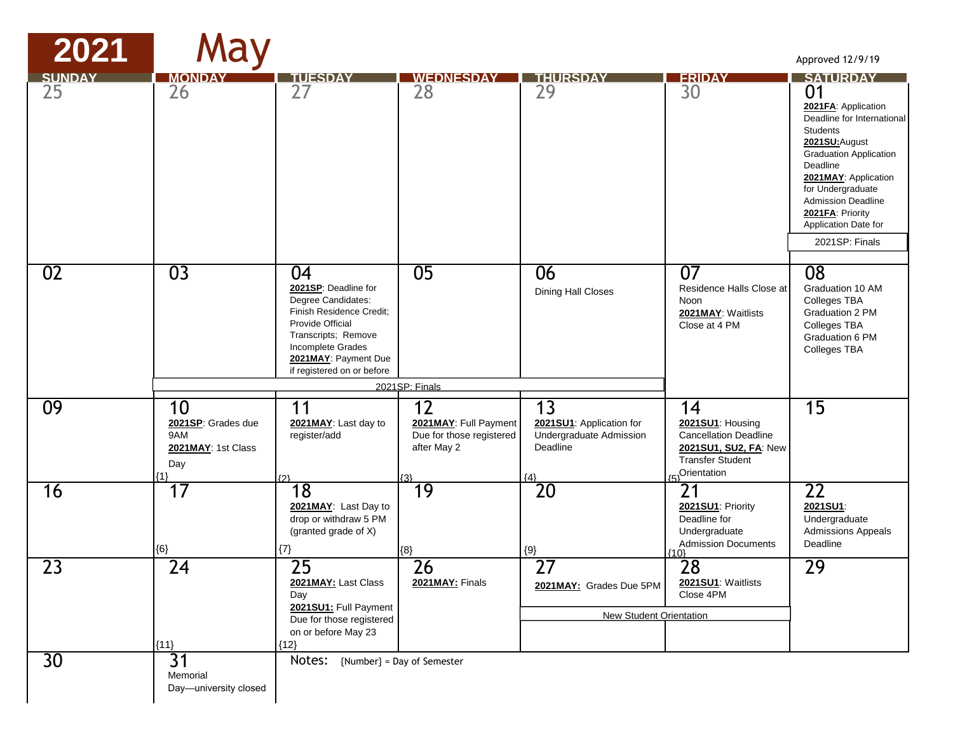| 2021                | May                                                                 |                                                                                                                                                                                                    |                                                                               |                                                                                             |                                                                                                                           | Approved 12/9/19                                                                                                                                                                                                                                                                                     |
|---------------------|---------------------------------------------------------------------|----------------------------------------------------------------------------------------------------------------------------------------------------------------------------------------------------|-------------------------------------------------------------------------------|---------------------------------------------------------------------------------------------|---------------------------------------------------------------------------------------------------------------------------|------------------------------------------------------------------------------------------------------------------------------------------------------------------------------------------------------------------------------------------------------------------------------------------------------|
| <b>SUNDAY</b><br>25 | <b>MONDA</b><br>26                                                  | TUESDA<br>27                                                                                                                                                                                       | <b>WEDNESDAY</b><br>28                                                        | <b>THURSDAY</b><br>29                                                                       | <b>FRIDAY</b><br>30                                                                                                       | <b>SATURDAY</b><br>01<br>2021FA: Application<br>Deadline for International<br><b>Students</b><br>2021SU: August<br><b>Graduation Application</b><br>Deadline<br>2021MAY: Application<br>for Undergraduate<br><b>Admission Deadline</b><br>2021FA: Priority<br>Application Date for<br>2021SP: Finals |
| 02                  | $\overline{03}$                                                     | 04<br>2021SP: Deadline for<br>Degree Candidates:<br>Finish Residence Credit;<br>Provide Official<br>Transcripts; Remove<br>Incomplete Grades<br>2021MAY: Payment Due<br>if registered on or before | 05                                                                            | 06<br>Dining Hall Closes                                                                    | 07<br>Residence Halls Close at<br>Noon<br>2021MAY: Waitlists<br>Close at 4 PM                                             | $\overline{08}$<br>Graduation 10 AM<br>Colleges TBA<br>Graduation 2 PM<br>Colleges TBA<br>Graduation 6 PM<br>Colleges TBA                                                                                                                                                                            |
|                     |                                                                     |                                                                                                                                                                                                    | 2021SP: Finals                                                                |                                                                                             |                                                                                                                           |                                                                                                                                                                                                                                                                                                      |
| 09                  | 10<br>2021SP: Grades due<br>9AM<br>2021MAY: 1st Class<br>Day<br>{1} | 11<br>2021MAY: Last day to<br>register/add<br>rクl                                                                                                                                                  | 12<br>2021MAY: Full Payment<br>Due for those registered<br>after May 2<br>(3) | $\overline{13}$<br>2021SU1: Application for<br>Undergraduate Admission<br>Deadline<br>${4}$ | 14<br>2021SU1: Housing<br><b>Cancellation Deadline</b><br>2021SU1, SU2, FA: New<br><b>Transfer Student</b><br>Orientation | 15                                                                                                                                                                                                                                                                                                   |
| 16                  | 17<br>${6}$                                                         | 18<br>2021MAY: Last Day to<br>drop or withdraw 5 PM<br>(granted grade of X)<br>${7}$                                                                                                               | 19<br>${8}$                                                                   | $\overline{20}$<br>$\{9\}$                                                                  | 21<br>2021SU1: Priority<br>Deadline for<br>Undergraduate<br><b>Admission Documents</b><br>{10}                            | $\overline{22}$<br>2021SU1:<br>Undergraduate<br><b>Admissions Appeals</b><br>Deadline                                                                                                                                                                                                                |
| 23                  | $\overline{24}$<br>${11}$                                           | $\overline{25}$<br>2021MAY: Last Class<br>Day<br>2021SU1: Full Payment<br>Due for those registered<br>on or before May 23<br>${12}$                                                                | $\overline{26}$<br>2021MAY: Finals                                            | $\overline{27}$<br>2021MAY: Grades Due 5PM<br>New Student Orientation                       | 28<br>2021SU1: Waitlists<br>Close 4PM                                                                                     | $\overline{29}$                                                                                                                                                                                                                                                                                      |
| 30                  | 31<br>Memorial<br>Day-university closed                             | Notes: {Number} = Day of Semester                                                                                                                                                                  |                                                                               |                                                                                             |                                                                                                                           |                                                                                                                                                                                                                                                                                                      |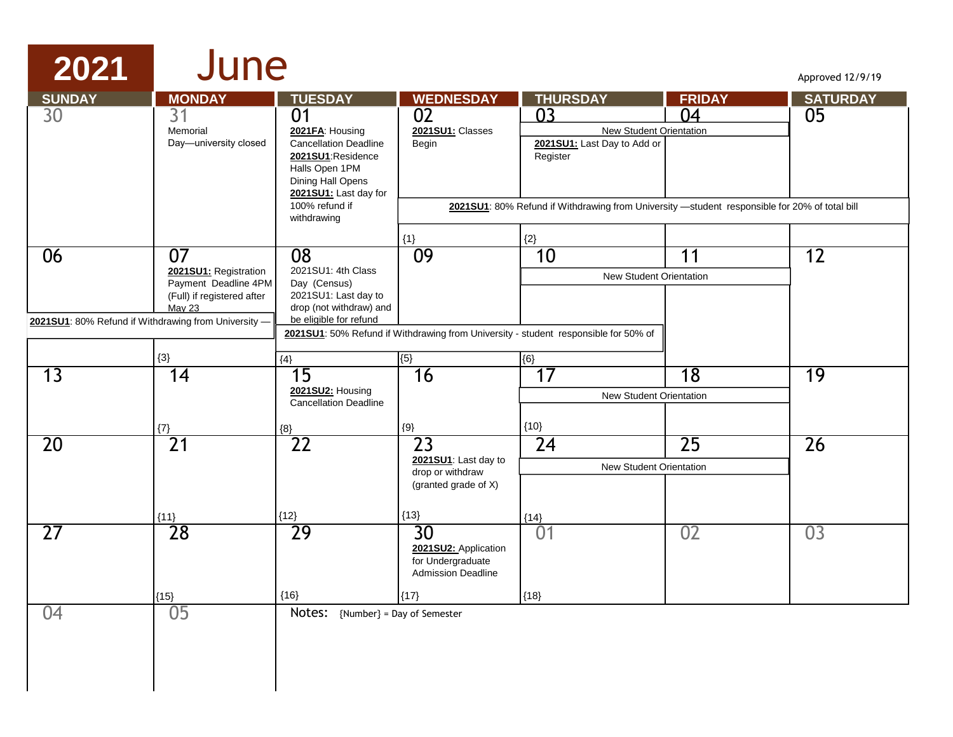#### **2021** June

| <b>SUNDAY</b>   | <b>MONDAY</b>                                                                                                                                              | <b>TUESDAY</b>                                                                                                                                                              | <b>WEDNESDAY</b>                                                                              | <b>THURSDAY</b>                                                                                                                                                                              | <b>FRIDAY</b>   | <b>SATURDAY</b> |
|-----------------|------------------------------------------------------------------------------------------------------------------------------------------------------------|-----------------------------------------------------------------------------------------------------------------------------------------------------------------------------|-----------------------------------------------------------------------------------------------|----------------------------------------------------------------------------------------------------------------------------------------------------------------------------------------------|-----------------|-----------------|
| 30              | 31<br>Memorial<br>Day-university closed                                                                                                                    | 01<br>2021FA: Housing<br><b>Cancellation Deadline</b><br>2021SU1:Residence<br>Halls Open 1PM<br>Dining Hall Opens<br>2021SU1: Last day for<br>100% refund if<br>withdrawing | 02<br>2021SU1: Classes<br>Begin                                                               | 0 <sup>3</sup><br><b>New Student Orientation</b><br>2021SU1: Last Day to Add or<br>Register<br>2021SU1: 80% Refund if Withdrawing from University -student responsible for 20% of total bill | 04              | 05              |
| 06              | 07<br>2021SU1: Registration<br>Payment Deadline 4PM<br>(Full) if registered after<br><b>May 23</b><br>2021SU1: 80% Refund if Withdrawing from University - | $\overline{08}$<br>2021SU1: 4th Class<br>Day (Census)<br>2021SU1: Last day to<br>drop (not withdraw) and<br>be eligible for refund                                          | ${1}$<br>09                                                                                   | ${2}$<br>10<br>New Student Orientation                                                                                                                                                       | 11              | 12              |
|                 | ${3}$                                                                                                                                                      | ${4}$                                                                                                                                                                       | ${5}$                                                                                         | 2021SU1: 50% Refund if Withdrawing from University - student responsible for 50% of<br>${6}$                                                                                                 |                 |                 |
| $\overline{13}$ | 14                                                                                                                                                         | 15<br>2021SU2: Housing<br><b>Cancellation Deadline</b>                                                                                                                      | 16                                                                                            | 17<br>New Student Orientation                                                                                                                                                                | 18              | 19              |
|                 | ${7}$                                                                                                                                                      | ${8}$                                                                                                                                                                       | $\{9\}$                                                                                       | ${10}$                                                                                                                                                                                       |                 |                 |
| 20              | $\overline{21}$<br>${11}$                                                                                                                                  | $\overline{22}$<br>${12}$                                                                                                                                                   | $\overline{23}$<br>2021SU1: Last day to<br>drop or withdraw<br>(granted grade of X)<br>${13}$ | $\overline{24}$<br>New Student Orientation<br>${14}$                                                                                                                                         | $\overline{25}$ | $\overline{26}$ |
| $\overline{27}$ | 28                                                                                                                                                         | 29                                                                                                                                                                          | 30<br>2021SU2: Application<br>for Undergraduate<br><b>Admission Deadline</b>                  | 01                                                                                                                                                                                           | 02              | 03              |
| 04              | ${15}$<br>05                                                                                                                                               | ${16}$<br>Notes:                                                                                                                                                            | ${17}$<br>{Number} = Day of Semester                                                          | ${18}$                                                                                                                                                                                       |                 |                 |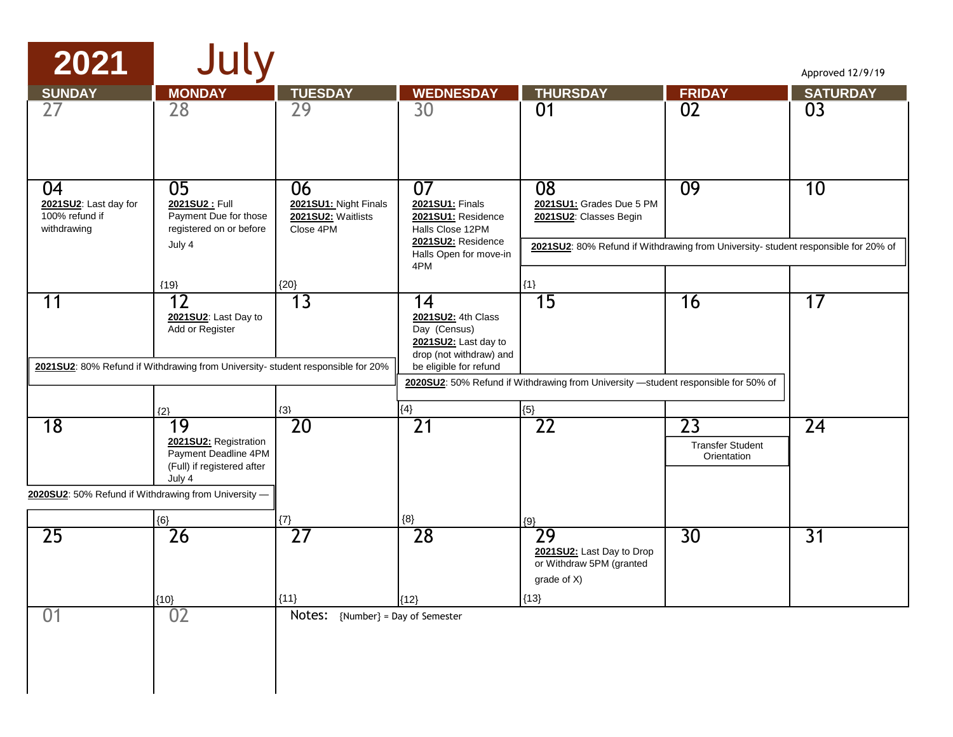| 2021                                                         | July                                                                                                                             |                                                                |                                                                                                                        |                                                                                                                                                |                                                           | Approved 12/9/19 |
|--------------------------------------------------------------|----------------------------------------------------------------------------------------------------------------------------------|----------------------------------------------------------------|------------------------------------------------------------------------------------------------------------------------|------------------------------------------------------------------------------------------------------------------------------------------------|-----------------------------------------------------------|------------------|
| <b>SUNDAY</b>                                                | <b>MONDAY</b>                                                                                                                    | <b>TUESDAY</b>                                                 | <b>WEDNESDAY</b>                                                                                                       | <b>THURSDAY</b>                                                                                                                                | <b>FRIDAY</b>                                             | <b>SATURDAY</b>  |
| 27                                                           | 28                                                                                                                               | 29                                                             | 30                                                                                                                     | 01                                                                                                                                             | 02                                                        | 03               |
| 04<br>2021SU2: Last day for<br>100% refund if<br>withdrawing | 05<br>2021SU2: Full<br>Payment Due for those<br>registered on or before<br>July 4                                                | 06<br>2021SU1: Night Finals<br>2021SU2: Waitlists<br>Close 4PM | 07<br>2021SU1: Finals<br>2021SU1: Residence<br>Halls Close 12PM<br>2021SU2: Residence<br>Halls Open for move-in<br>4PM | 08<br>2021SU1: Grades Due 5 PM<br>2021SU2: Classes Begin<br>2021SU2: 80% Refund if Withdrawing from University- student responsible for 20% of | 09                                                        | 10               |
|                                                              | ${19}$                                                                                                                           | ${20}$                                                         |                                                                                                                        | ${1}$                                                                                                                                          |                                                           |                  |
| 11                                                           | 12<br>2021SU2: Last Day to<br>Add or Register<br>2021SU2: 80% Refund if Withdrawing from University- student responsible for 20% | 13                                                             | 14<br>2021SU2: 4th Class<br>Day (Census)<br>2021SU2: Last day to<br>drop (not withdraw) and<br>be eligible for refund  | 15<br>2020SU2: 50% Refund if Withdrawing from University -student responsible for 50% of                                                       | 16                                                        | 17               |
|                                                              |                                                                                                                                  |                                                                |                                                                                                                        |                                                                                                                                                |                                                           |                  |
| 18                                                           | $\{2\}$<br>19<br>2021SU2: Registration<br>Payment Deadline 4PM<br>(Full) if registered after<br>July 4                           | ${3}$<br>20                                                    | ${4}$<br>$\overline{21}$                                                                                               | ${5}$<br>$\overline{22}$                                                                                                                       | $\overline{23}$<br><b>Transfer Student</b><br>Orientation | $\overline{24}$  |
| 2020SU2: 50% Refund if Withdrawing from University -         |                                                                                                                                  |                                                                |                                                                                                                        |                                                                                                                                                |                                                           |                  |
|                                                              | ${6}$                                                                                                                            | $\{7\}$                                                        | $\{8\}$                                                                                                                | ${9}$                                                                                                                                          |                                                           |                  |
| 25                                                           | 26<br>${10}$                                                                                                                     | 27<br>${11}$                                                   | 28<br>${12}$                                                                                                           | 29<br>2021SU2: Last Day to Drop<br>or Withdraw 5PM (granted<br>grade of X)<br>${13}$                                                           | 30                                                        | $\overline{31}$  |
| 01                                                           | 02                                                                                                                               | Notes: {Number} = Day of Semester                              |                                                                                                                        |                                                                                                                                                |                                                           |                  |
|                                                              |                                                                                                                                  |                                                                |                                                                                                                        |                                                                                                                                                |                                                           |                  |